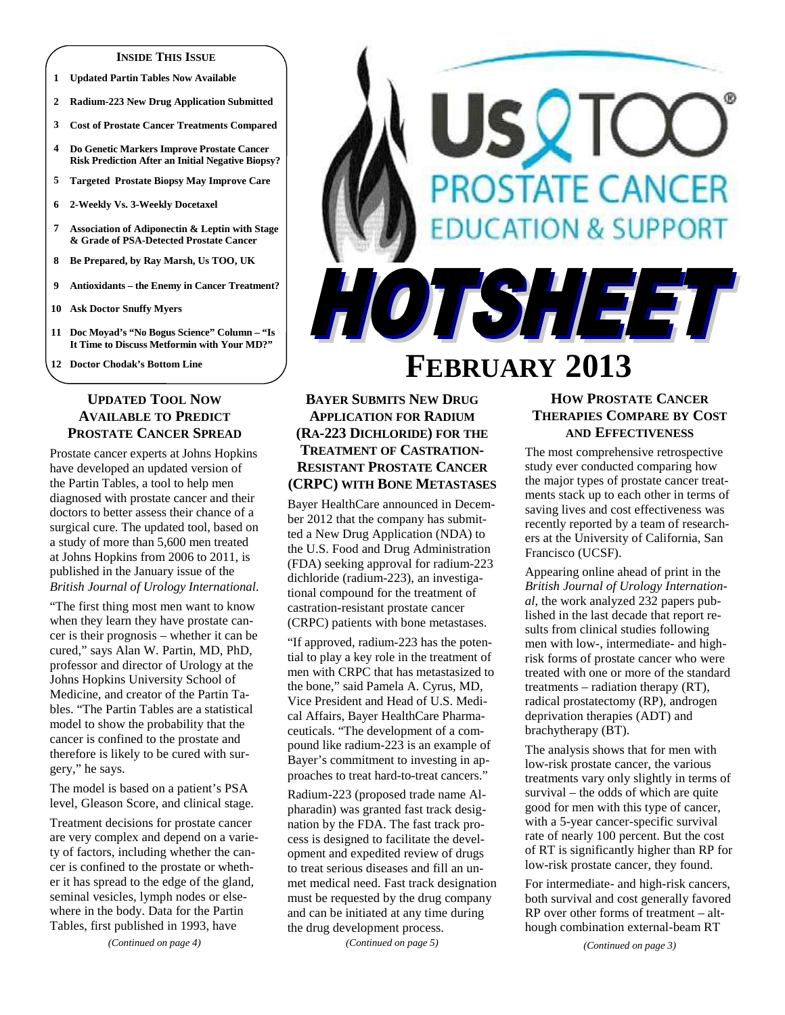#### **INSIDE THIS ISSUE**

- **1 Updated Partin Tables Now Available**
- **2 Radium-223 New Drug Application Submitted**
- **3 Cost of Prostate Cancer Treatments Compared**
- **4 Do Genetic Markers Improve Prostate Cancer Risk Prediction After an Initial Negative Biopsy?**
- **5 Targeted Prostate Biopsy May Improve Care**
- **6 2-Weekly Vs. 3-Weekly Docetaxel**
- **7 Association of Adiponectin & Leptin with Stage & Grade of PSA-Detected Prostate Cancer**
- **8 Be Prepared, by Ray Marsh, Us TOO, UK**
- **9 Antioxidants the Enemy in Cancer Treatment?**
- **10 Ask Doctor Snuffy Myers**
- **11 Doc Moyad's "No Bogus Science" Column "Is It Time to Discuss Metformin with Your MD?"**
- **12 Doctor Chodak's Bottom Line**

# **UPDATED TOOL NOW AVAILABLE TO PREDICT PROSTATE CANCER SPREAD**

Prostate cancer experts at Johns Hopkins have developed an updated version of the Partin Tables, a tool to help men diagnosed with prostate cancer and their doctors to better assess their chance of a surgical cure. The updated tool, based on a study of more than 5,600 men treated at Johns Hopkins from 2006 to 2011, is published in the January issue of the *British Journal of Urology International*.

"The first thing most men want to know when they learn they have prostate cancer is their prognosis – whether it can be cured," says Alan W. Partin, MD, PhD, professor and director of Urology at the Johns Hopkins University School of Medicine, and creator of the Partin Tables. "The Partin Tables are a statistical model to show the probability that the cancer is confined to the prostate and therefore is likely to be cured with surgery," he says.

The model is based on a patient's PSA level, Gleason Score, and clinical stage.

Treatment decisions for prostate cancer are very complex and depend on a variety of factors, including whether the cancer is confined to the prostate or whether it has spread to the edge of the gland, seminal vesicles, lymph nodes or elsewhere in the body. Data for the Partin Tables, first published in 1993, have

*(Continued on page 4)* 

# HOTSHEET **FEBRUARY 2013**

# **BAYER SUBMITS NEW DRUG APPLICATION FOR RADIUM (RA-223 DICHLORIDE) FOR THE TREATMENT OF CASTRATION-RESISTANT PROSTATE CANCER (CRPC) WITH BONE METASTASES**

Bayer HealthCare announced in December 2012 that the company has submitted a New Drug Application (NDA) to the U.S. Food and Drug Administration (FDA) seeking approval for radium-223 dichloride (radium-223), an investigational compound for the treatment of castration-resistant prostate cancer (CRPC) patients with bone metastases.

"If approved, radium-223 has the potential to play a key role in the treatment of men with CRPC that has metastasized to the bone," said Pamela A. Cyrus, MD, Vice President and Head of U.S. Medical Affairs, Bayer HealthCare Pharmaceuticals. "The development of a compound like radium-223 is an example of Bayer's commitment to investing in approaches to treat hard-to-treat cancers."

Radium-223 (proposed trade name Alpharadin) was granted fast track designation by the FDA. The fast track process is designed to facilitate the development and expedited review of drugs to treat serious diseases and fill an unmet medical need. Fast track designation must be requested by the drug company and can be initiated at any time during the drug development process.

*(Continued on page 5)* 

# **HOW PROSTATE CANCER THERAPIES COMPARE BY COST AND EFFECTIVENESS**

**OSTATE CANCER** 

**ATION & SUPPORT** 

The most comprehensive retrospective study ever conducted comparing how the major types of prostate cancer treatments stack up to each other in terms of saving lives and cost effectiveness was recently reported by a team of researchers at the University of California, San Francisco (UCSF).

Appearing online ahead of print in the *British Journal of Urology International*, the work analyzed 232 papers published in the last decade that report results from clinical studies following men with low-, intermediate- and highrisk forms of prostate cancer who were treated with one or more of the standard treatments – radiation therapy (RT), radical prostatectomy (RP), androgen deprivation therapies (ADT) and brachytherapy (BT).

The analysis shows that for men with low-risk prostate cancer, the various treatments vary only slightly in terms of survival – the odds of which are quite good for men with this type of cancer, with a 5-year cancer-specific survival rate of nearly 100 percent. But the cost of RT is significantly higher than RP for low-risk prostate cancer, they found.

For intermediate- and high-risk cancers, both survival and cost generally favored RP over other forms of treatment – although combination external-beam RT

*(Continued on page 3)*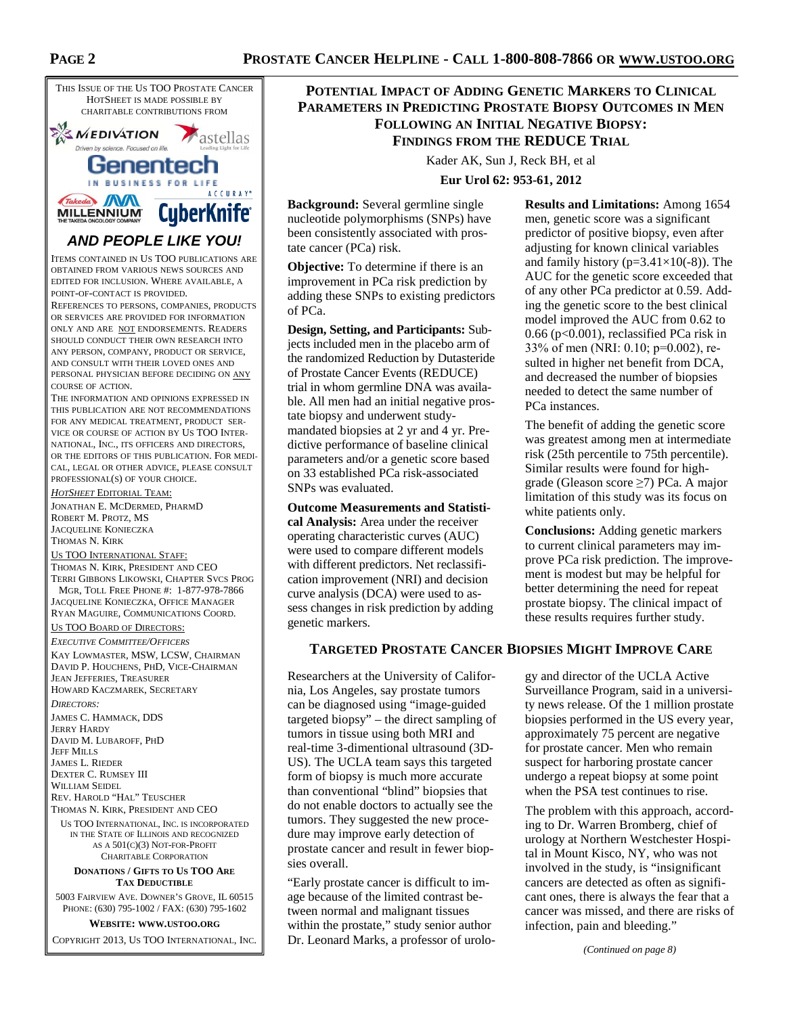

ITEMS CONTAINED IN US TOO PUBLICATIONS ARE OBTAINED FROM VARIOUS NEWS SOURCES AND EDITED FOR INCLUSION. WHERE AVAILABLE, A POINT-OF-CONTACT IS PROVIDED.

REFERENCES TO PERSONS, COMPANIES, PRODUCTS OR SERVICES ARE PROVIDED FOR INFORMATION ONLY AND ARE NOT ENDORSEMENTS. READERS SHOULD CONDUCT THEIR OWN RESEARCH INTO ANY PERSON, COMPANY, PRODUCT OR SERVICE, AND CONSULT WITH THEIR LOVED ONES AND PERSONAL PHYSICIAN BEFORE DECIDING ON ANY COURSE OF ACTION.

THE INFORMATION AND OPINIONS EXPRESSED IN THIS PUBLICATION ARE NOT RECOMMENDATIONS FOR ANY MEDICAL TREATMENT, PRODUCT SER-VICE OR COURSE OF ACTION BY US TOO INTER-NATIONAL, INC., ITS OFFICERS AND DIRECTORS, OR THE EDITORS OF THIS PUBLICATION. FOR MEDI-CAL, LEGAL OR OTHER ADVICE, PLEASE CONSULT PROFESSIONAL(S) OF YOUR CHOICE.

*HOTSHEET* EDITORIAL TEAM:

JONATHAN E. MCDERMED, PHARMD ROBERT M. PROTZ, MS JACQUELINE KONIECZKA THOMAS N. KIRK

#### US TOO INTERNATIONAL STAFF:

THOMAS N. KIRK, PRESIDENT AND CEO TERRI GIBBONS LIKOWSKI, CHAPTER SVCS PROG MGR, TOLL FREE PHONE #: 1-877-978-7866 JACQUELINE KONIECZKA, OFFICE MANAGER RYAN MAGUIRE, COMMUNICATIONS COORD.

#### US TOO BOARD OF DIRECTORS:

*EXECUTIVE COMMITTEE/OFFICERS*

KAY LOWMASTER, MSW, LCSW, CHAIRMAN DAVID P. HOUCHENS, PHD, VICE-CHAIRMAN JEAN JEFFERIES, TREASURER HOWARD KACZMAREK, SECRETARY

*DIRECTORS:* 

JAMES C. HAMMACK, DDS JERRY HARDY DAVID M. LUBAROFF, PHD JEFF MILLS JAMES L. RIEDER DEXTER C. RUMSEY III WILLIAM SEIDEL REV. HAROLD "HAL" TEUSCHER THOMAS N. KIRK, PRESIDENT AND CEO US TOO INTERNATIONAL, INC. IS INCORPORATED

IN THE STATE OF ILLINOIS AND RECOGNIZED AS A 501(C)(3) NOT-FOR-PROFIT CHARITABLE CORPORATION

#### **DONATIONS / GIFTS TO US TOO ARE TAX DEDUCTIBLE**

5003 FAIRVIEW AVE. DOWNER'S GROVE, IL 60515 PHONE: (630) 795-1002 / FAX: (630) 795-1602

**WEBSITE: WWW.USTOO.ORG**

COPYRIGHT 2013, US TOO INTERNATIONAL, INC.

# **POTENTIAL IMPACT OF ADDING GENETIC MARKERS TO CLINICAL PARAMETERS IN PREDICTING PROSTATE BIOPSY OUTCOMES IN MEN FOLLOWING AN INITIAL NEGATIVE BIOPSY: FINDINGS FROM THE REDUCE TRIAL**

Kader AK, Sun J, Reck BH, et al

**Eur Urol 62: 953-61, 2012** 

**Background:** Several germline single nucleotide polymorphisms (SNPs) have been consistently associated with prostate cancer (PCa) risk.

**Objective:** To determine if there is an improvement in PCa risk prediction by adding these SNPs to existing predictors of PCa.

**Design, Setting, and Participants:** Subjects included men in the placebo arm of the randomized Reduction by Dutasteride of Prostate Cancer Events (REDUCE) trial in whom germline DNA was available. All men had an initial negative prostate biopsy and underwent studymandated biopsies at 2 yr and 4 yr. Predictive performance of baseline clinical parameters and/or a genetic score based on 33 established PCa risk-associated SNPs was evaluated.

**Outcome Measurements and Statistical Analysis:** Area under the receiver operating characteristic curves (AUC) were used to compare different models with different predictors. Net reclassification improvement (NRI) and decision curve analysis (DCA) were used to assess changes in risk prediction by adding genetic markers.

**Results and Limitations:** Among 1654 men, genetic score was a significant predictor of positive biopsy, even after adjusting for known clinical variables and family history ( $p=3.41\times10(-8)$ ). The AUC for the genetic score exceeded that of any other PCa predictor at 0.59. Adding the genetic score to the best clinical model improved the AUC from 0.62 to 0.66 (p<0.001), reclassified PCa risk in 33% of men (NRI: 0.10; p=0.002), resulted in higher net benefit from DCA, and decreased the number of biopsies needed to detect the same number of PCa instances.

The benefit of adding the genetic score was greatest among men at intermediate risk (25th percentile to 75th percentile). Similar results were found for highgrade (Gleason score ≥7) PCa. A major limitation of this study was its focus on white patients only.

**Conclusions:** Adding genetic markers to current clinical parameters may improve PCa risk prediction. The improvement is modest but may be helpful for better determining the need for repeat prostate biopsy. The clinical impact of these results requires further study.

#### **TARGETED PROSTATE CANCER BIOPSIES MIGHT IMPROVE CARE**

Researchers at the University of California, Los Angeles, say prostate tumors can be diagnosed using "image-guided targeted biopsy" – the direct sampling of tumors in tissue using both MRI and real-time 3-dimentional ultrasound (3D-US). The UCLA team says this targeted form of biopsy is much more accurate than conventional "blind" biopsies that do not enable doctors to actually see the tumors. They suggested the new procedure may improve early detection of prostate cancer and result in fewer biopsies overall.

"Early prostate cancer is difficult to image because of the limited contrast between normal and malignant tissues within the prostate," study senior author Dr. Leonard Marks, a professor of urology and director of the UCLA Active Surveillance Program, said in a university news release. Of the 1 million prostate biopsies performed in the US every year, approximately 75 percent are negative for prostate cancer. Men who remain suspect for harboring prostate cancer undergo a repeat biopsy at some point when the PSA test continues to rise.

The problem with this approach, according to Dr. Warren Bromberg, chief of urology at Northern Westchester Hospital in Mount Kisco, NY, who was not involved in the study, is "insignificant cancers are detected as often as significant ones, there is always the fear that a cancer was missed, and there are risks of infection, pain and bleeding."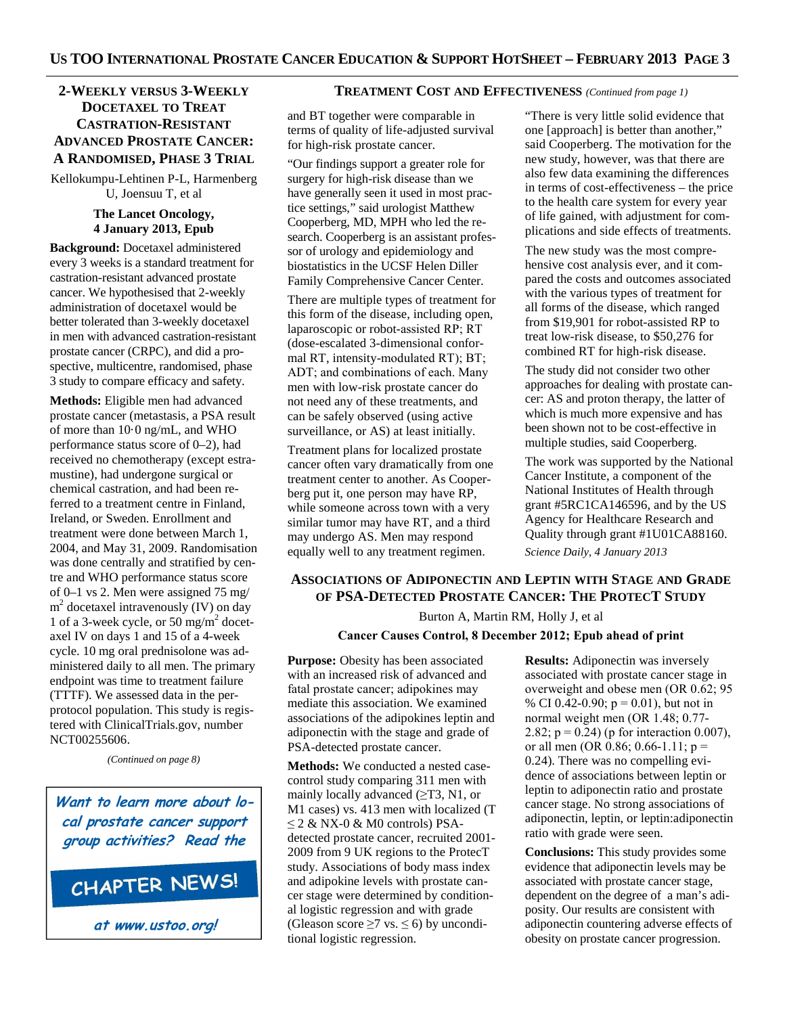# **2-WEEKLY VERSUS 3-WEEKLY DOCETAXEL TO TREAT CASTRATION-RESISTANT ADVANCED PROSTATE CANCER: A RANDOMISED, PHASE 3 TRIAL**

Kellokumpu-Lehtinen P-L, Harmenberg U, Joensuu T, et al

#### **The Lancet Oncology, 4 January 2013, Epub**

**Background:** Docetaxel administered every 3 weeks is a standard treatment for castration-resistant advanced prostate cancer. We hypothesised that 2-weekly administration of docetaxel would be better tolerated than 3-weekly docetaxel in men with advanced castration-resistant prostate cancer (CRPC), and did a prospective, multicentre, randomised, phase 3 study to compare efficacy and safety.

**Methods:** Eligible men had advanced prostate cancer (metastasis, a PSA result of more than 10·0 ng/mL, and WHO performance status score of 0–2), had received no chemotherapy (except estramustine), had undergone surgical or chemical castration, and had been referred to a treatment centre in Finland, Ireland, or Sweden. Enrollment and treatment were done between March 1, 2004, and May 31, 2009. Randomisation was done centrally and stratified by centre and WHO performance status score of 0–1 vs 2. Men were assigned 75 mg/ m<sup>2</sup> docetaxel intravenously (IV) on day 1 of a 3-week cycle, or 50 mg/m<sup>2</sup> docetaxel IV on days 1 and 15 of a 4-week cycle. 10 mg oral prednisolone was administered daily to all men. The primary endpoint was time to treatment failure (TTTF). We assessed data in the perprotocol population. This study is registered with ClinicalTrials.gov, number NCT00255606.

*(Continued on page 8)* 

**Want to learn more about local prostate cancer support group activities? Read the**

# CHAPTER NEWS!

**at www.ustoo.org!**

#### **TREATMENT COST AND EFFECTIVENESS** *(Continued from page 1)*

and BT together were comparable in terms of quality of life-adjusted survival for high-risk prostate cancer.

"Our findings support a greater role for surgery for high-risk disease than we have generally seen it used in most practice settings," said urologist Matthew Cooperberg, MD, MPH who led the research. Cooperberg is an assistant professor of urology and epidemiology and biostatistics in the UCSF Helen Diller Family Comprehensive Cancer Center.

There are multiple types of treatment for this form of the disease, including open, laparoscopic or robot-assisted RP; RT (dose-escalated 3-dimensional conformal RT, intensity-modulated RT); BT; ADT; and combinations of each. Many men with low-risk prostate cancer do not need any of these treatments, and can be safely observed (using active surveillance, or AS) at least initially.

Treatment plans for localized prostate cancer often vary dramatically from one treatment center to another. As Cooperberg put it, one person may have RP, while someone across town with a very similar tumor may have RT, and a third may undergo AS. Men may respond equally well to any treatment regimen.

"There is very little solid evidence that one [approach] is better than another," said Cooperberg. The motivation for the new study, however, was that there are also few data examining the differences in terms of cost-effectiveness – the price to the health care system for every year of life gained, with adjustment for complications and side effects of treatments.

The new study was the most comprehensive cost analysis ever, and it compared the costs and outcomes associated with the various types of treatment for all forms of the disease, which ranged from \$19,901 for robot-assisted RP to treat low-risk disease, to \$50,276 for combined RT for high-risk disease.

The study did not consider two other approaches for dealing with prostate cancer: AS and proton therapy, the latter of which is much more expensive and has been shown not to be cost-effective in multiple studies, said Cooperberg.

The work was supported by the National Cancer Institute, a component of the National Institutes of Health through grant #5RC1CA146596, and by the US Agency for Healthcare Research and Quality through grant #1U01CA88160.

*Science Daily, 4 January 2013* 

# **ASSOCIATIONS OF ADIPONECTIN AND LEPTIN WITH STAGE AND GRADE OF PSA-DETECTED PROSTATE CANCER: THE PROTECT STUDY**

Burton A, Martin RM, Holly J, et al

#### **Cancer Causes Control, 8 December 2012; Epub ahead of print**

**Purpose:** Obesity has been associated with an increased risk of advanced and fatal prostate cancer; adipokines may mediate this association. We examined associations of the adipokines leptin and adiponectin with the stage and grade of PSA-detected prostate cancer.

**Methods:** We conducted a nested casecontrol study comparing 311 men with mainly locally advanced  $(\geq$ T3, N1, or M1 cases) vs. 413 men with localized (T  $\leq$  2 & NX-0 & M0 controls) PSAdetected prostate cancer, recruited 2001- 2009 from 9 UK regions to the ProtecT study. Associations of body mass index and adipokine levels with prostate cancer stage were determined by conditional logistic regression and with grade (Gleason score  $\geq$ 7 vs.  $\leq$  6) by unconditional logistic regression.

**Results:** Adiponectin was inversely associated with prostate cancer stage in overweight and obese men (OR 0.62; 95 % CI 0.42-0.90;  $p = 0.01$ ), but not in normal weight men (OR 1.48; 0.77- 2.82;  $p = 0.24$ ) (p for interaction 0.007), or all men (OR 0.86; 0.66-1.11;  $p =$ 0.24). There was no compelling evidence of associations between leptin or leptin to adiponectin ratio and prostate cancer stage. No strong associations of adiponectin, leptin, or leptin:adiponectin ratio with grade were seen.

**Conclusions:** This study provides some evidence that adiponectin levels may be associated with prostate cancer stage, dependent on the degree of a man's adiposity. Our results are consistent with adiponectin countering adverse effects of obesity on prostate cancer progression.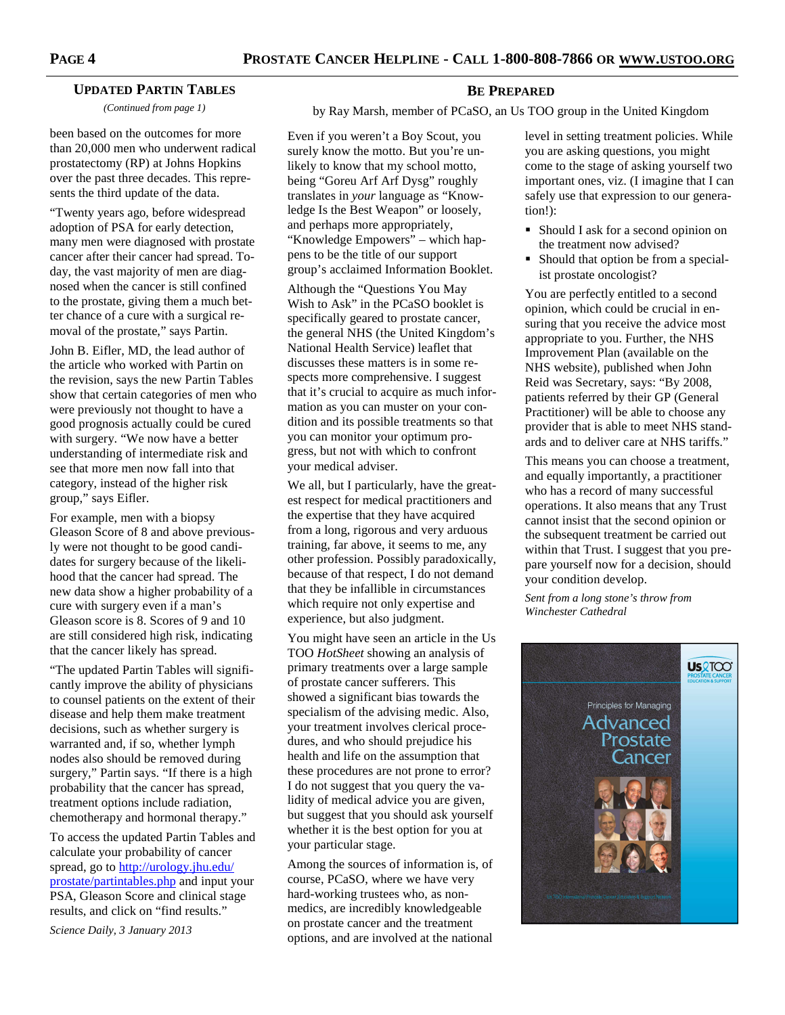#### **UPDATED PARTIN TABLES**

*(Continued from page 1)* 

been based on the outcomes for more than 20,000 men who underwent radical prostatectomy (RP) at Johns Hopkins over the past three decades. This represents the third update of the data.

"Twenty years ago, before widespread adoption of PSA for early detection, many men were diagnosed with prostate cancer after their cancer had spread. Today, the vast majority of men are diagnosed when the cancer is still confined to the prostate, giving them a much better chance of a cure with a surgical removal of the prostate," says Partin.

John B. Eifler, MD, the lead author of the article who worked with Partin on the revision, says the new Partin Tables show that certain categories of men who were previously not thought to have a good prognosis actually could be cured with surgery. "We now have a better understanding of intermediate risk and see that more men now fall into that category, instead of the higher risk group," says Eifler.

For example, men with a biopsy Gleason Score of 8 and above previously were not thought to be good candidates for surgery because of the likelihood that the cancer had spread. The new data show a higher probability of a cure with surgery even if a man's Gleason score is 8. Scores of 9 and 10 are still considered high risk, indicating that the cancer likely has spread.

"The updated Partin Tables will significantly improve the ability of physicians to counsel patients on the extent of their disease and help them make treatment decisions, such as whether surgery is warranted and, if so, whether lymph nodes also should be removed during surgery," Partin says. "If there is a high probability that the cancer has spread, treatment options include radiation, chemotherapy and hormonal therapy."

To access the updated Partin Tables and calculate your probability of cancer spread, go to http://urology.jhu.edu/ prostate/partintables.php and input your PSA, Gleason Score and clinical stage results, and click on "find results."

*Science Daily, 3 January 2013* 

#### **BE PREPARED**

by Ray Marsh, member of PCaSO, an Us TOO group in the United Kingdom

Even if you weren't a Boy Scout, you surely know the motto. But you're unlikely to know that my school motto, being "Goreu Arf Arf Dysg" roughly translates in *your* language as "Knowledge Is the Best Weapon" or loosely, and perhaps more appropriately, "Knowledge Empowers" – which happens to be the title of our support group's acclaimed Information Booklet.

Although the "Questions You May Wish to Ask" in the PCaSO booklet is specifically geared to prostate cancer, the general NHS (the United Kingdom's National Health Service) leaflet that discusses these matters is in some respects more comprehensive. I suggest that it's crucial to acquire as much information as you can muster on your condition and its possible treatments so that you can monitor your optimum progress, but not with which to confront your medical adviser.

We all, but I particularly, have the greatest respect for medical practitioners and the expertise that they have acquired from a long, rigorous and very arduous training, far above, it seems to me, any other profession. Possibly paradoxically, because of that respect, I do not demand that they be infallible in circumstances which require not only expertise and experience, but also judgment.

You might have seen an article in the Us TOO *HotSheet* showing an analysis of primary treatments over a large sample of prostate cancer sufferers. This showed a significant bias towards the specialism of the advising medic. Also, your treatment involves clerical procedures, and who should prejudice his health and life on the assumption that these procedures are not prone to error? I do not suggest that you query the validity of medical advice you are given, but suggest that you should ask yourself whether it is the best option for you at your particular stage.

Among the sources of information is, of course, PCaSO, where we have very hard-working trustees who, as nonmedics, are incredibly knowledgeable on prostate cancer and the treatment options, and are involved at the national

level in setting treatment policies. While you are asking questions, you might come to the stage of asking yourself two important ones, viz. (I imagine that I can safely use that expression to our generation!):

- Should I ask for a second opinion on the treatment now advised?
- Should that option be from a specialist prostate oncologist?

You are perfectly entitled to a second opinion, which could be crucial in ensuring that you receive the advice most appropriate to you. Further, the NHS Improvement Plan (available on the NHS website), published when John Reid was Secretary, says: "By 2008, patients referred by their GP (General Practitioner) will be able to choose any provider that is able to meet NHS standards and to deliver care at NHS tariffs."

This means you can choose a treatment, and equally importantly, a practitioner who has a record of many successful operations. It also means that any Trust cannot insist that the second opinion or the subsequent treatment be carried out within that Trust. I suggest that you prepare yourself now for a decision, should your condition develop.

*Sent from a long stone's throw from Winchester Cathedral* 

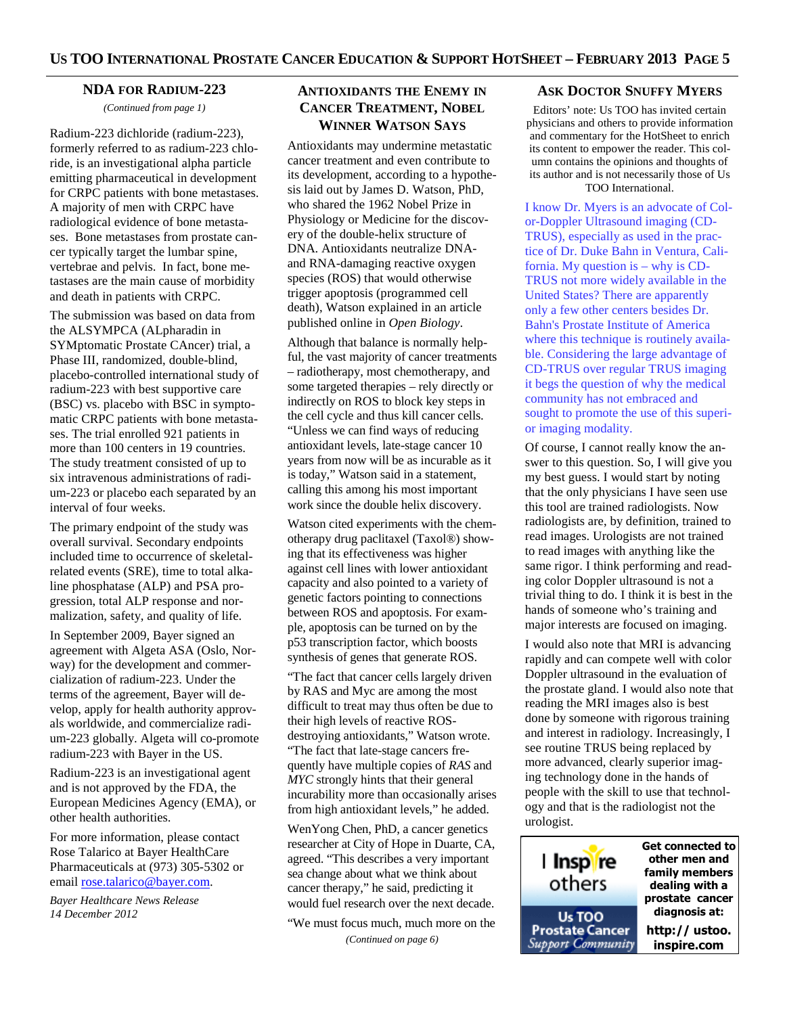#### **NDA FOR RADIUM-223**

*(Continued from page 1)* 

Radium-223 dichloride (radium-223), formerly referred to as radium-223 chloride, is an investigational alpha particle emitting pharmaceutical in development for CRPC patients with bone metastases. A majority of men with CRPC have radiological evidence of bone metastases. Bone metastases from prostate cancer typically target the lumbar spine, vertebrae and pelvis. In fact, bone metastases are the main cause of morbidity and death in patients with CRPC.

The submission was based on data from the ALSYMPCA (ALpharadin in SYMptomatic Prostate CAncer) trial, a Phase III, randomized, double-blind, placebo-controlled international study of radium-223 with best supportive care (BSC) vs. placebo with BSC in symptomatic CRPC patients with bone metastases. The trial enrolled 921 patients in more than 100 centers in 19 countries. The study treatment consisted of up to six intravenous administrations of radium-223 or placebo each separated by an interval of four weeks.

The primary endpoint of the study was overall survival. Secondary endpoints included time to occurrence of skeletalrelated events (SRE), time to total alkaline phosphatase (ALP) and PSA progression, total ALP response and normalization, safety, and quality of life.

In September 2009, Bayer signed an agreement with Algeta ASA (Oslo, Norway) for the development and commercialization of radium-223. Under the terms of the agreement, Bayer will develop, apply for health authority approvals worldwide, and commercialize radium-223 globally. Algeta will co-promote radium-223 with Bayer in the US.

Radium-223 is an investigational agent and is not approved by the FDA, the European Medicines Agency (EMA), or other health authorities.

For more information, please contact Rose Talarico at Bayer HealthCare Pharmaceuticals at (973) 305-5302 or email rose.talarico@bayer.com.

*Bayer Healthcare News Release 14 December 2012* 

# **ANTIOXIDANTS THE ENEMY IN CANCER TREATMENT, NOBEL WINNER WATSON SAYS**

Antioxidants may undermine metastatic cancer treatment and even contribute to its development, according to a hypothesis laid out by James D. Watson, PhD, who shared the 1962 Nobel Prize in Physiology or Medicine for the discovery of the double-helix structure of DNA. Antioxidants neutralize DNAand RNA-damaging reactive oxygen species (ROS) that would otherwise trigger apoptosis (programmed cell death), Watson explained in an article published online in *Open Biology*.

Although that balance is normally helpful, the vast majority of cancer treatments – radiotherapy, most chemotherapy, and some targeted therapies – rely directly or indirectly on ROS to block key steps in the cell cycle and thus kill cancer cells. "Unless we can find ways of reducing antioxidant levels, late-stage cancer 10 years from now will be as incurable as it is today," Watson said in a statement, calling this among his most important work since the double helix discovery.

Watson cited experiments with the chemotherapy drug paclitaxel (Taxol®) showing that its effectiveness was higher against cell lines with lower antioxidant capacity and also pointed to a variety of genetic factors pointing to connections between ROS and apoptosis. For example, apoptosis can be turned on by the p53 transcription factor, which boosts synthesis of genes that generate ROS.

"The fact that cancer cells largely driven by RAS and Myc are among the most difficult to treat may thus often be due to their high levels of reactive ROSdestroying antioxidants," Watson wrote. "The fact that late-stage cancers frequently have multiple copies of *RAS* and *MYC* strongly hints that their general incurability more than occasionally arises from high antioxidant levels," he added.

WenYong Chen, PhD, a cancer genetics researcher at City of Hope in Duarte, CA, agreed. "This describes a very important sea change about what we think about cancer therapy," he said, predicting it would fuel research over the next decade.

"We must focus much, much more on the

*(Continued on page 6)* 

#### **ASK DOCTOR SNUFFY MYERS**

Editors' note: Us TOO has invited certain physicians and others to provide information and commentary for the HotSheet to enrich its content to empower the reader. This column contains the opinions and thoughts of its author and is not necessarily those of Us TOO International.

I know Dr. Myers is an advocate of Color-Doppler Ultrasound imaging (CD-TRUS), especially as used in the practice of Dr. Duke Bahn in Ventura, California. My question is – why is CD-TRUS not more widely available in the United States? There are apparently only a few other centers besides Dr. Bahn's Prostate Institute of America where this technique is routinely available. Considering the large advantage of CD-TRUS over regular TRUS imaging it begs the question of why the medical community has not embraced and sought to promote the use of this superior imaging modality.

Of course, I cannot really know the answer to this question. So, I will give you my best guess. I would start by noting that the only physicians I have seen use this tool are trained radiologists. Now radiologists are, by definition, trained to read images. Urologists are not trained to read images with anything like the same rigor. I think performing and reading color Doppler ultrasound is not a trivial thing to do. I think it is best in the hands of someone who's training and major interests are focused on imaging.

I would also note that MRI is advancing rapidly and can compete well with color Doppler ultrasound in the evaluation of the prostate gland. I would also note that reading the MRI images also is best done by someone with rigorous training and interest in radiology. Increasingly, I see routine TRUS being replaced by more advanced, clearly superior imaging technology done in the hands of people with the skill to use that technology and that is the radiologist not the urologist.

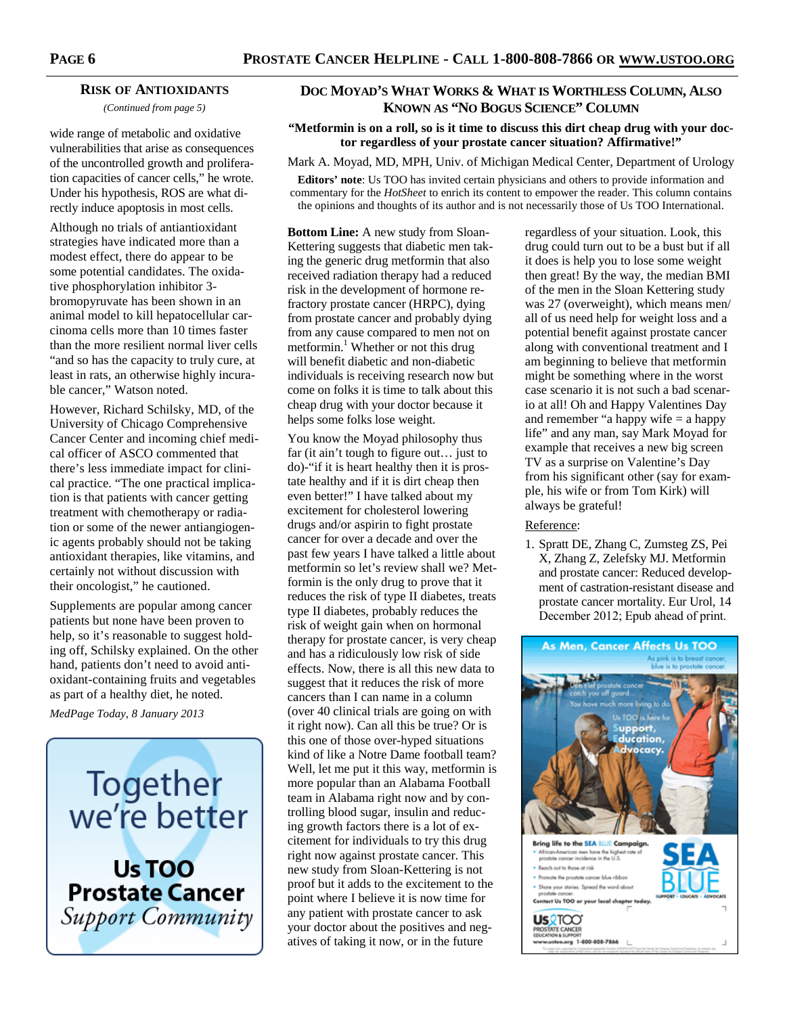#### **RISK OF ANTIOXIDANTS**

*(Continued from page 5)* 

wide range of metabolic and oxidative vulnerabilities that arise as consequences of the uncontrolled growth and proliferation capacities of cancer cells," he wrote. Under his hypothesis, ROS are what directly induce apoptosis in most cells.

Although no trials of antiantioxidant strategies have indicated more than a modest effect, there do appear to be some potential candidates. The oxidative phosphorylation inhibitor 3 bromopyruvate has been shown in an animal model to kill hepatocellular carcinoma cells more than 10 times faster than the more resilient normal liver cells "and so has the capacity to truly cure, at least in rats, an otherwise highly incurable cancer," Watson noted.

However, Richard Schilsky, MD, of the University of Chicago Comprehensive Cancer Center and incoming chief medical officer of ASCO commented that there's less immediate impact for clinical practice. "The one practical implication is that patients with cancer getting treatment with chemotherapy or radiation or some of the newer antiangiogenic agents probably should not be taking antioxidant therapies, like vitamins, and certainly not without discussion with their oncologist," he cautioned.

Supplements are popular among cancer patients but none have been proven to help, so it's reasonable to suggest holding off, Schilsky explained. On the other hand, patients don't need to avoid antioxidant-containing fruits and vegetables as part of a healthy diet, he noted.

*MedPage Today, 8 January 2013* 



Us TOO **Prostate Cancer** Support Community

# **DOC MOYAD'S WHAT WORKS & WHAT IS WORTHLESS COLUMN, ALSO KNOWN AS "NO BOGUS SCIENCE" COLUMN**

#### **"Metformin is on a roll, so is it time to discuss this dirt cheap drug with your doctor regardless of your prostate cancer situation? Affirmative!"**

Mark A. Moyad, MD, MPH, Univ. of Michigan Medical Center, Department of Urology

**Editors' note**: Us TOO has invited certain physicians and others to provide information and commentary for the *HotSheet* to enrich its content to empower the reader. This column contains the opinions and thoughts of its author and is not necessarily those of Us TOO International.

**Bottom Line:** A new study from Sloan-Kettering suggests that diabetic men taking the generic drug metformin that also received radiation therapy had a reduced risk in the development of hormone refractory prostate cancer (HRPC), dying from prostate cancer and probably dying from any cause compared to men not on metformin.<sup>1</sup> Whether or not this drug will benefit diabetic and non-diabetic individuals is receiving research now but come on folks it is time to talk about this cheap drug with your doctor because it helps some folks lose weight.

You know the Moyad philosophy thus far (it ain't tough to figure out… just to do)-"if it is heart healthy then it is prostate healthy and if it is dirt cheap then even better!" I have talked about my excitement for cholesterol lowering drugs and/or aspirin to fight prostate cancer for over a decade and over the past few years I have talked a little about metformin so let's review shall we? Metformin is the only drug to prove that it reduces the risk of type II diabetes, treats type II diabetes, probably reduces the risk of weight gain when on hormonal therapy for prostate cancer, is very cheap and has a ridiculously low risk of side effects. Now, there is all this new data to suggest that it reduces the risk of more cancers than I can name in a column (over 40 clinical trials are going on with it right now). Can all this be true? Or is this one of those over-hyped situations kind of like a Notre Dame football team? Well, let me put it this way, metformin is more popular than an Alabama Football team in Alabama right now and by controlling blood sugar, insulin and reducing growth factors there is a lot of excitement for individuals to try this drug right now against prostate cancer. This new study from Sloan-Kettering is not proof but it adds to the excitement to the point where I believe it is now time for any patient with prostate cancer to ask your doctor about the positives and negatives of taking it now, or in the future

regardless of your situation. Look, this drug could turn out to be a bust but if all it does is help you to lose some weight then great! By the way, the median BMI of the men in the Sloan Kettering study was 27 (overweight), which means men/ all of us need help for weight loss and a potential benefit against prostate cancer along with conventional treatment and I am beginning to believe that metformin might be something where in the worst case scenario it is not such a bad scenario at all! Oh and Happy Valentines Day and remember "a happy wife  $=$  a happy life" and any man, say Mark Moyad for example that receives a new big screen TV as a surprise on Valentine's Day from his significant other (say for example, his wife or from Tom Kirk) will always be grateful!

#### Reference:

1. Spratt DE, Zhang C, Zumsteg ZS, Pei X, Zhang Z, Zelefsky MJ. Metformin and prostate cancer: Reduced development of castration-resistant disease and prostate cancer mortality. Eur Urol, 14 December 2012; Epub ahead of print.

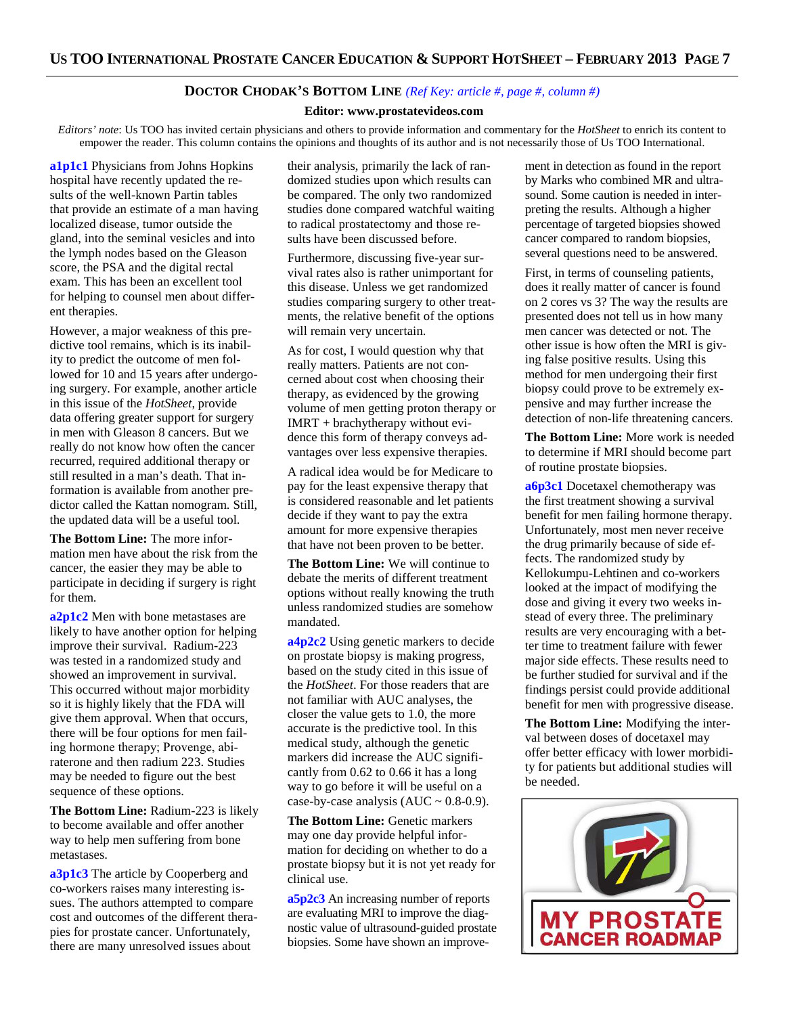#### **DOCTOR CHODAK'S BOTTOM LINE** *(Ref Key: article #, page #, column #)*

#### **Editor: www.prostatevideos.com**

*Editors' note*: Us TOO has invited certain physicians and others to provide information and commentary for the *HotSheet* to enrich its content to empower the reader. This column contains the opinions and thoughts of its author and is not necessarily those of Us TOO International.

**a1p1c1** Physicians from Johns Hopkins hospital have recently updated the results of the well-known Partin tables that provide an estimate of a man having localized disease, tumor outside the gland, into the seminal vesicles and into the lymph nodes based on the Gleason score, the PSA and the digital rectal exam. This has been an excellent tool for helping to counsel men about different therapies.

However, a major weakness of this predictive tool remains, which is its inability to predict the outcome of men followed for 10 and 15 years after undergoing surgery. For example, another article in this issue of the *HotSheet*, provide data offering greater support for surgery in men with Gleason 8 cancers. But we really do not know how often the cancer recurred, required additional therapy or still resulted in a man's death. That information is available from another predictor called the Kattan nomogram. Still, the updated data will be a useful tool.

**The Bottom Line:** The more information men have about the risk from the cancer, the easier they may be able to participate in deciding if surgery is right for them.

**a2p1c2** Men with bone metastases are likely to have another option for helping improve their survival. Radium-223 was tested in a randomized study and showed an improvement in survival. This occurred without major morbidity so it is highly likely that the FDA will give them approval. When that occurs, there will be four options for men failing hormone therapy; Provenge, abiraterone and then radium 223. Studies may be needed to figure out the best sequence of these options.

**The Bottom Line:** Radium-223 is likely to become available and offer another way to help men suffering from bone metastases.

**a3p1c3** The article by Cooperberg and co-workers raises many interesting issues. The authors attempted to compare cost and outcomes of the different therapies for prostate cancer. Unfortunately, there are many unresolved issues about

their analysis, primarily the lack of randomized studies upon which results can be compared. The only two randomized studies done compared watchful waiting to radical prostatectomy and those results have been discussed before.

Furthermore, discussing five-year survival rates also is rather unimportant for this disease. Unless we get randomized studies comparing surgery to other treatments, the relative benefit of the options will remain very uncertain.

As for cost, I would question why that really matters. Patients are not concerned about cost when choosing their therapy, as evidenced by the growing volume of men getting proton therapy or IMRT + brachytherapy without evidence this form of therapy conveys advantages over less expensive therapies.

A radical idea would be for Medicare to pay for the least expensive therapy that is considered reasonable and let patients decide if they want to pay the extra amount for more expensive therapies that have not been proven to be better.

**The Bottom Line:** We will continue to debate the merits of different treatment options without really knowing the truth unless randomized studies are somehow mandated.

**a4p2c2** Using genetic markers to decide on prostate biopsy is making progress, based on the study cited in this issue of the *HotSheet*. For those readers that are not familiar with AUC analyses, the closer the value gets to 1.0, the more accurate is the predictive tool. In this medical study, although the genetic markers did increase the AUC significantly from 0.62 to 0.66 it has a long way to go before it will be useful on a case-by-case analysis  $(AUC \sim 0.8{\text -}0.9)$ .

**The Bottom Line:** Genetic markers may one day provide helpful information for deciding on whether to do a prostate biopsy but it is not yet ready for clinical use.

**a5p2c3** An increasing number of reports are evaluating MRI to improve the diagnostic value of ultrasound-guided prostate biopsies. Some have shown an improvement in detection as found in the report by Marks who combined MR and ultrasound. Some caution is needed in interpreting the results. Although a higher percentage of targeted biopsies showed cancer compared to random biopsies, several questions need to be answered.

First, in terms of counseling patients, does it really matter of cancer is found on 2 cores vs 3? The way the results are presented does not tell us in how many men cancer was detected or not. The other issue is how often the MRI is giving false positive results. Using this method for men undergoing their first biopsy could prove to be extremely expensive and may further increase the detection of non-life threatening cancers.

**The Bottom Line:** More work is needed to determine if MRI should become part of routine prostate biopsies.

**a6p3c1** Docetaxel chemotherapy was the first treatment showing a survival benefit for men failing hormone therapy. Unfortunately, most men never receive the drug primarily because of side effects. The randomized study by Kellokumpu-Lehtinen and co-workers looked at the impact of modifying the dose and giving it every two weeks instead of every three. The preliminary results are very encouraging with a better time to treatment failure with fewer major side effects. These results need to be further studied for survival and if the findings persist could provide additional benefit for men with progressive disease.

**The Bottom Line:** Modifying the interval between doses of docetaxel may offer better efficacy with lower morbidity for patients but additional studies will be needed.